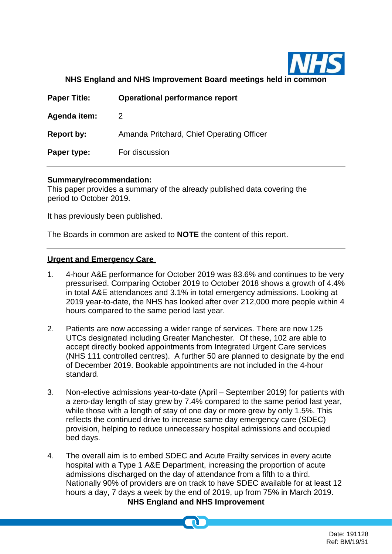

**NHS England and NHS Improvement Board meetings held in common**

| <b>Paper Title:</b> | Operational performance report            |
|---------------------|-------------------------------------------|
| Agenda item:        |                                           |
| Report by:          | Amanda Pritchard, Chief Operating Officer |
| Paper type:         | For discussion                            |
|                     |                                           |

#### **Summary/recommendation:**

This paper provides a summary of the already published data covering the period to October 2019.

It has previously been published.

The Boards in common are asked to **NOTE** the content of this report.

#### **Urgent and Emergency Care**

- 1. 4-hour A&E performance for October 2019 was 83.6% and continues to be very pressurised. Comparing October 2019 to October 2018 shows a growth of 4.4% in total A&E attendances and 3.1% in total emergency admissions. Looking at 2019 year-to-date, the NHS has looked after over 212,000 more people within 4 hours compared to the same period last year.
- 2. Patients are now accessing a wider range of services. There are now 125 UTCs designated including Greater Manchester. Of these, 102 are able to accept directly booked appointments from Integrated Urgent Care services (NHS 111 controlled centres). A further 50 are planned to designate by the end of December 2019. Bookable appointments are not included in the 4-hour standard.
- 3. Non-elective admissions year-to-date (April September 2019) for patients with a zero-day length of stay grew by 7.4% compared to the same period last year, while those with a length of stay of one day or more grew by only 1.5%. This reflects the continued drive to increase same day emergency care (SDEC) provision, helping to reduce unnecessary hospital admissions and occupied bed days.
- **NHS England and NHS Improvement** 4. The overall aim is to embed SDEC and Acute Frailty services in every acute hospital with a Type 1 A&E Department, increasing the proportion of acute admissions discharged on the day of attendance from a fifth to a third. Nationally 90% of providers are on track to have SDEC available for at least 12 hours a day, 7 days a week by the end of 2019, up from 75% in March 2019.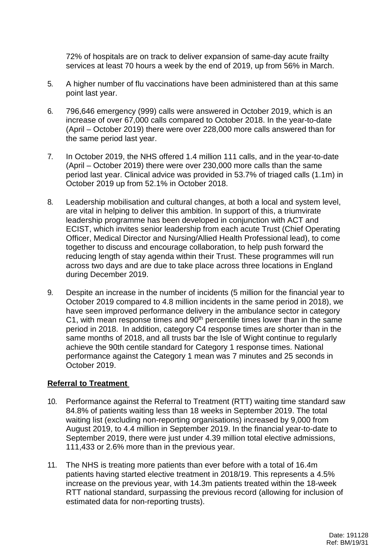72% of hospitals are on track to deliver expansion of same-day acute frailty services at least 70 hours a week by the end of 2019, up from 56% in March.

- 5. A higher number of flu vaccinations have been administered than at this same point last year.
- 6. 796,646 emergency (999) calls were answered in October 2019, which is an increase of over 67,000 calls compared to October 2018. In the year-to-date (April – October 2019) there were over 228,000 more calls answered than for the same period last year.
- 7. In October 2019, the NHS offered 1.4 million 111 calls, and in the year-to-date (April – October 2019) there were over 230,000 more calls than the same period last year. Clinical advice was provided in 53.7% of triaged calls (1.1m) in October 2019 up from 52.1% in October 2018.
- 8. Leadership mobilisation and cultural changes, at both a local and system level, are vital in helping to deliver this ambition. In support of this, a triumvirate leadership programme has been developed in conjunction with ACT and ECIST, which invites senior leadership from each acute Trust (Chief Operating Officer, Medical Director and Nursing/Allied Health Professional lead), to come together to discuss and encourage collaboration, to help push forward the reducing length of stay agenda within their Trust. These programmes will run across two days and are due to take place across three locations in England during December 2019.
- 9. Despite an increase in the number of incidents (5 million for the financial year to October 2019 compared to 4.8 million incidents in the same period in 2018), we have seen improved performance delivery in the ambulance sector in category C1, with mean response times and  $90<sup>th</sup>$  percentile times lower than in the same period in 2018. In addition, category C4 response times are shorter than in the same months of 2018, and all trusts bar the Isle of Wight continue to regularly achieve the 90th centile standard for Category 1 response times. National performance against the Category 1 mean was 7 minutes and 25 seconds in October 2019.

## **Referral to Treatment**

- 10. Performance against the Referral to Treatment (RTT) waiting time standard saw 84.8% of patients waiting less than 18 weeks in September 2019. The total waiting list (excluding non-reporting organisations) increased by 9,000 from August 2019, to 4.4 million in September 2019. In the financial year-to-date to September 2019, there were just under 4.39 million total elective admissions, 111,433 or 2.6% more than in the previous year.
- 11. The NHS is treating more patients than ever before with a total of 16.4m patients having started elective treatment in 2018/19. This represents a 4.5% increase on the previous year, with 14.3m patients treated within the 18-week RTT national standard, surpassing the previous record (allowing for inclusion of estimated data for non-reporting trusts).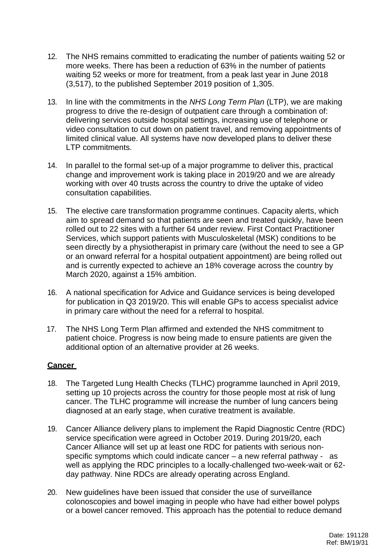- 12. The NHS remains committed to eradicating the number of patients waiting 52 or more weeks. There has been a reduction of 63% in the number of patients waiting 52 weeks or more for treatment, from a peak last year in June 2018 (3,517), to the published September 2019 position of 1,305.
- 13. In line with the commitments in the *NHS Long Term Plan* (LTP), we are making progress to drive the re-design of outpatient care through a combination of: delivering services outside hospital settings, increasing use of telephone or video consultation to cut down on patient travel, and removing appointments of limited clinical value. All systems have now developed plans to deliver these LTP commitments.
- 14. In parallel to the formal set-up of a major programme to deliver this, practical change and improvement work is taking place in 2019/20 and we are already working with over 40 trusts across the country to drive the uptake of video consultation capabilities.
- 15. The elective care transformation programme continues. Capacity alerts, which aim to spread demand so that patients are seen and treated quickly, have been rolled out to 22 sites with a further 64 under review. First Contact Practitioner Services, which support patients with Musculoskeletal (MSK) conditions to be seen directly by a physiotherapist in primary care (without the need to see a GP or an onward referral for a hospital outpatient appointment) are being rolled out and is currently expected to achieve an 18% coverage across the country by March 2020, against a 15% ambition.
- 16. A national specification for Advice and Guidance services is being developed for publication in Q3 2019/20. This will enable GPs to access specialist advice in primary care without the need for a referral to hospital.
- 17. The NHS Long Term Plan affirmed and extended the NHS commitment to patient choice. Progress is now being made to ensure patients are given the additional option of an alternative provider at 26 weeks.

## **Cancer**

- 18. The Targeted Lung Health Checks (TLHC) programme launched in April 2019, setting up 10 projects across the country for those people most at risk of lung cancer. The TLHC programme will increase the number of lung cancers being diagnosed at an early stage, when curative treatment is available.
- 19. Cancer Alliance delivery plans to implement the Rapid Diagnostic Centre (RDC) service specification were agreed in October 2019. During 2019/20, each Cancer Alliance will set up at least one RDC for patients with serious nonspecific symptoms which could indicate cancer – a new referral pathway - as well as applying the RDC principles to a locally-challenged two-week-wait or 62 day pathway. Nine RDCs are already operating across England.
- 20. New guidelines have been issued that consider the use of surveillance colonoscopies and bowel imaging in people who have had either bowel polyps or a bowel cancer removed. This approach has the potential to reduce demand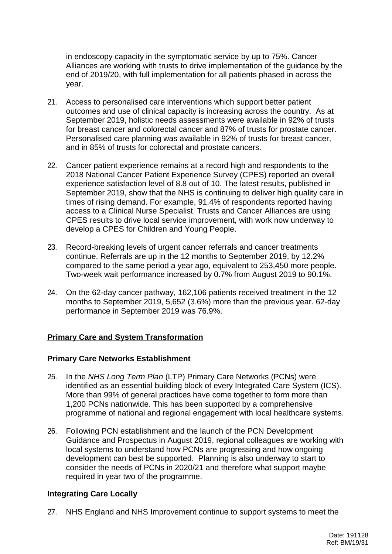in endoscopy capacity in the symptomatic service by up to 75%. Cancer Alliances are working with trusts to drive implementation of the guidance by the end of 2019/20, with full implementation for all patients phased in across the year.

- 21. Access to personalised care interventions which support better patient outcomes and use of clinical capacity is increasing across the country. As at September 2019, holistic needs assessments were available in 92% of trusts for breast cancer and colorectal cancer and 87% of trusts for prostate cancer. Personalised care planning was available in 92% of trusts for breast cancer, and in 85% of trusts for colorectal and prostate cancers.
- 22. Cancer patient experience remains at a record high and respondents to the 2018 National Cancer Patient Experience Survey (CPES) reported an overall experience satisfaction level of 8.8 out of 10. The latest results, published in September 2019, show that the NHS is continuing to deliver high quality care in times of rising demand. For example, 91.4% of respondents reported having access to a Clinical Nurse Specialist. Trusts and Cancer Alliances are using CPES results to drive local service improvement, with work now underway to develop a CPES for Children and Young People.
- 23. Record-breaking levels of urgent cancer referrals and cancer treatments continue. Referrals are up in the 12 months to September 2019, by 12.2% compared to the same period a year ago, equivalent to 253,450 more people. Two-week wait performance increased by 0.7% from August 2019 to 90.1%.
- 24. On the 62-day cancer pathway, 162,106 patients received treatment in the 12 months to September 2019, 5,652 (3.6%) more than the previous year. 62-day performance in September 2019 was 76.9%.

## **Primary Care and System Transformation**

#### **Primary Care Networks Establishment**

- 25. In the *NHS Long Term Plan* (LTP) Primary Care Networks (PCNs) were identified as an essential building block of every Integrated Care System (ICS). More than 99% of general practices have come together to form more than 1,200 PCNs nationwide. This has been supported by a comprehensive programme of national and regional engagement with local healthcare systems.
- 26. Following PCN establishment and the launch of the PCN Development Guidance and Prospectus in August 2019, regional colleagues are working with local systems to understand how PCNs are progressing and how ongoing development can best be supported. Planning is also underway to start to consider the needs of PCNs in 2020/21 and therefore what support maybe required in year two of the programme.

#### **Integrating Care Locally**

27. NHS England and NHS Improvement continue to support systems to meet the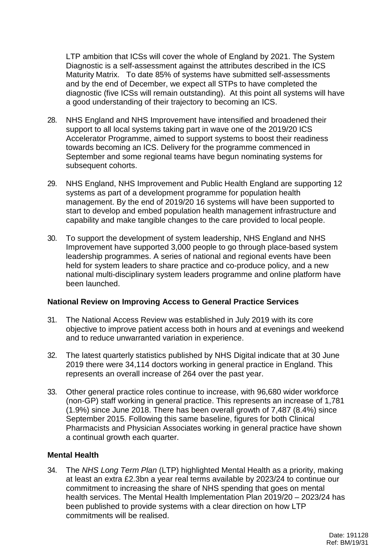LTP ambition that ICSs will cover the whole of England by 2021. The System Diagnostic is a self-assessment against the attributes described in the ICS Maturity Matrix. To date 85% of systems have submitted self-assessments and by the end of December, we expect all STPs to have completed the diagnostic (five ICSs will remain outstanding). At this point all systems will have a good understanding of their trajectory to becoming an ICS.

- 28. NHS England and NHS Improvement have intensified and broadened their support to all local systems taking part in wave one of the 2019/20 ICS Accelerator Programme, aimed to support systems to boost their readiness towards becoming an ICS. Delivery for the programme commenced in September and some regional teams have begun nominating systems for subsequent cohorts.
- 29. NHS England, NHS Improvement and Public Health England are supporting 12 systems as part of a development programme for population health management. By the end of 2019/20 16 systems will have been supported to start to develop and embed population health management infrastructure and capability and make tangible changes to the care provided to local people.
- 30. To support the development of system leadership, NHS England and NHS Improvement have supported 3,000 people to go through place-based system leadership programmes. A series of national and regional events have been held for system leaders to share practice and co-produce policy, and a new national multi-disciplinary system leaders programme and online platform have been launched.

## **National Review on Improving Access to General Practice Services**

- 31. The National Access Review was established in July 2019 with its core objective to improve patient access both in hours and at evenings and weekend and to reduce unwarranted variation in experience.
- 32. The latest quarterly statistics published by NHS Digital indicate that at 30 June 2019 there were 34,114 doctors working in general practice in England. This represents an overall increase of 264 over the past year.
- 33. Other general practice roles continue to increase, with 96,680 wider workforce (non-GP) staff working in general practice. This represents an increase of 1,781 (1.9%) since June 2018. There has been overall growth of 7,487 (8.4%) since September 2015. Following this same baseline, figures for both Clinical Pharmacists and Physician Associates working in general practice have shown a continual growth each quarter.

## **Mental Health**

34. The *NHS Long Term Plan* (LTP) highlighted Mental Health as a priority, making at least an extra £2.3bn a year real terms available by 2023/24 to continue our commitment to increasing the share of NHS spending that goes on mental health services. The Mental Health Implementation Plan 2019/20 – 2023/24 has been published to provide systems with a clear direction on how LTP commitments will be realised.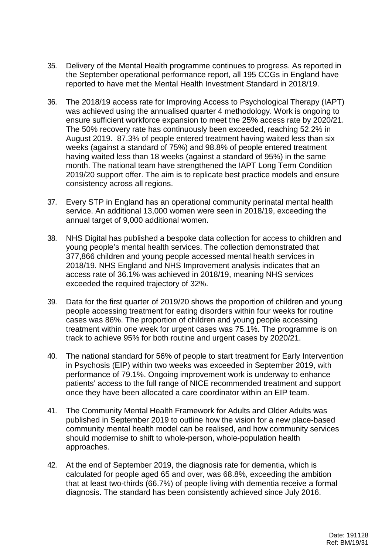- 35. Delivery of the Mental Health programme continues to progress. As reported in the September operational performance report, all 195 CCGs in England have reported to have met the Mental Health Investment Standard in 2018/19.
- 36. The 2018/19 access rate for Improving Access to Psychological Therapy (IAPT) was achieved using the annualised quarter 4 methodology. Work is ongoing to ensure sufficient workforce expansion to meet the 25% access rate by 2020/21. The 50% recovery rate has continuously been exceeded, reaching 52.2% in August 2019. 87.3% of people entered treatment having waited less than six weeks (against a standard of 75%) and 98.8% of people entered treatment having waited less than 18 weeks (against a standard of 95%) in the same month. The national team have strengthened the IAPT Long Term Condition 2019/20 support offer. The aim is to replicate best practice models and ensure consistency across all regions.
- 37. Every STP in England has an operational community perinatal mental health service. An additional 13,000 women were seen in 2018/19, exceeding the annual target of 9,000 additional women.
- 38. NHS Digital has published a bespoke data collection for access to children and young people's mental health services. The collection demonstrated that 377,866 children and young people accessed mental health services in 2018/19. NHS England and NHS Improvement analysis indicates that an access rate of 36.1% was achieved in 2018/19, meaning NHS services exceeded the required trajectory of 32%.
- 39. Data for the first quarter of 2019/20 shows the proportion of children and young people accessing treatment for eating disorders within four weeks for routine cases was 86%. The proportion of children and young people accessing treatment within one week for urgent cases was 75.1%. The programme is on track to achieve 95% for both routine and urgent cases by 2020/21.
- 40. The national standard for 56% of people to start treatment for Early Intervention in Psychosis (EIP) within two weeks was exceeded in September 2019, with performance of 79.1%. Ongoing improvement work is underway to enhance patients' access to the full range of NICE recommended treatment and support once they have been allocated a care coordinator within an EIP team.
- 41. The Community Mental Health Framework for Adults and Older Adults was published in September 2019 to outline how the vision for a new place-based community mental health model can be realised, and how community services should modernise to shift to whole-person, whole-population health approaches.
- 42. At the end of September 2019, the diagnosis rate for dementia, which is calculated for people aged 65 and over, was 68.8%, exceeding the ambition that at least two-thirds (66.7%) of people living with dementia receive a formal diagnosis. The standard has been consistently achieved since July 2016.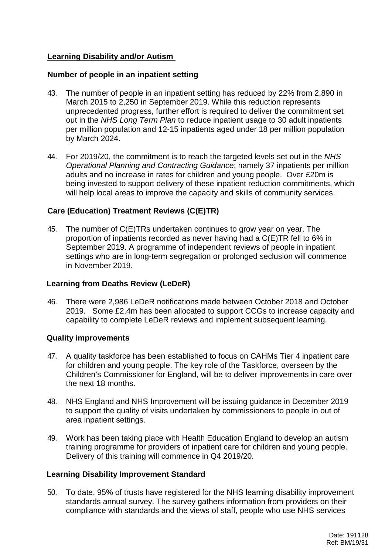# **Learning Disability and/or Autism**

#### **Number of people in an inpatient setting**

- 43. The number of people in an inpatient setting has reduced by 22% from 2,890 in March 2015 to 2,250 in September 2019. While this reduction represents unprecedented progress, further effort is required to deliver the commitment set out in the *NHS Long Term Plan* to reduce inpatient usage to 30 adult inpatients per million population and 12-15 inpatients aged under 18 per million population by March 2024.
- 44. For 2019/20, the commitment is to reach the targeted levels set out in the *NHS Operational Planning and Contracting Guidance*; namely 37 inpatients per million adults and no increase in rates for children and young people. Over £20m is being invested to support delivery of these inpatient reduction commitments, which will help local areas to improve the capacity and skills of community services.

# **Care (Education) Treatment Reviews (C(E)TR)**

45. The number of C(E)TRs undertaken continues to grow year on year. The proportion of inpatients recorded as never having had a C(E)TR fell to 6% in September 2019. A programme of independent reviews of people in inpatient settings who are in long-term segregation or prolonged seclusion will commence in November 2019.

## **Learning from Deaths Review (LeDeR)**

46. There were 2,986 LeDeR notifications made between October 2018 and October 2019. Some £2.4m has been allocated to support CCGs to increase capacity and capability to complete LeDeR reviews and implement subsequent learning.

## **Quality improvements**

- 47. A quality taskforce has been established to focus on CAHMs Tier 4 inpatient care for children and young people. The key role of the Taskforce, overseen by the Children's Commissioner for England, will be to deliver improvements in care over the next 18 months.
- 48. NHS England and NHS Improvement will be issuing guidance in December 2019 to support the quality of visits undertaken by commissioners to people in out of area inpatient settings.
- 49. Work has been taking place with Health Education England to develop an autism training programme for providers of inpatient care for children and young people. Delivery of this training will commence in Q4 2019/20.

#### **Learning Disability Improvement Standard**

50. To date, 95% of trusts have registered for the NHS learning disability improvement standards annual survey. The survey gathers information from providers on their compliance with standards and the views of staff, people who use NHS services